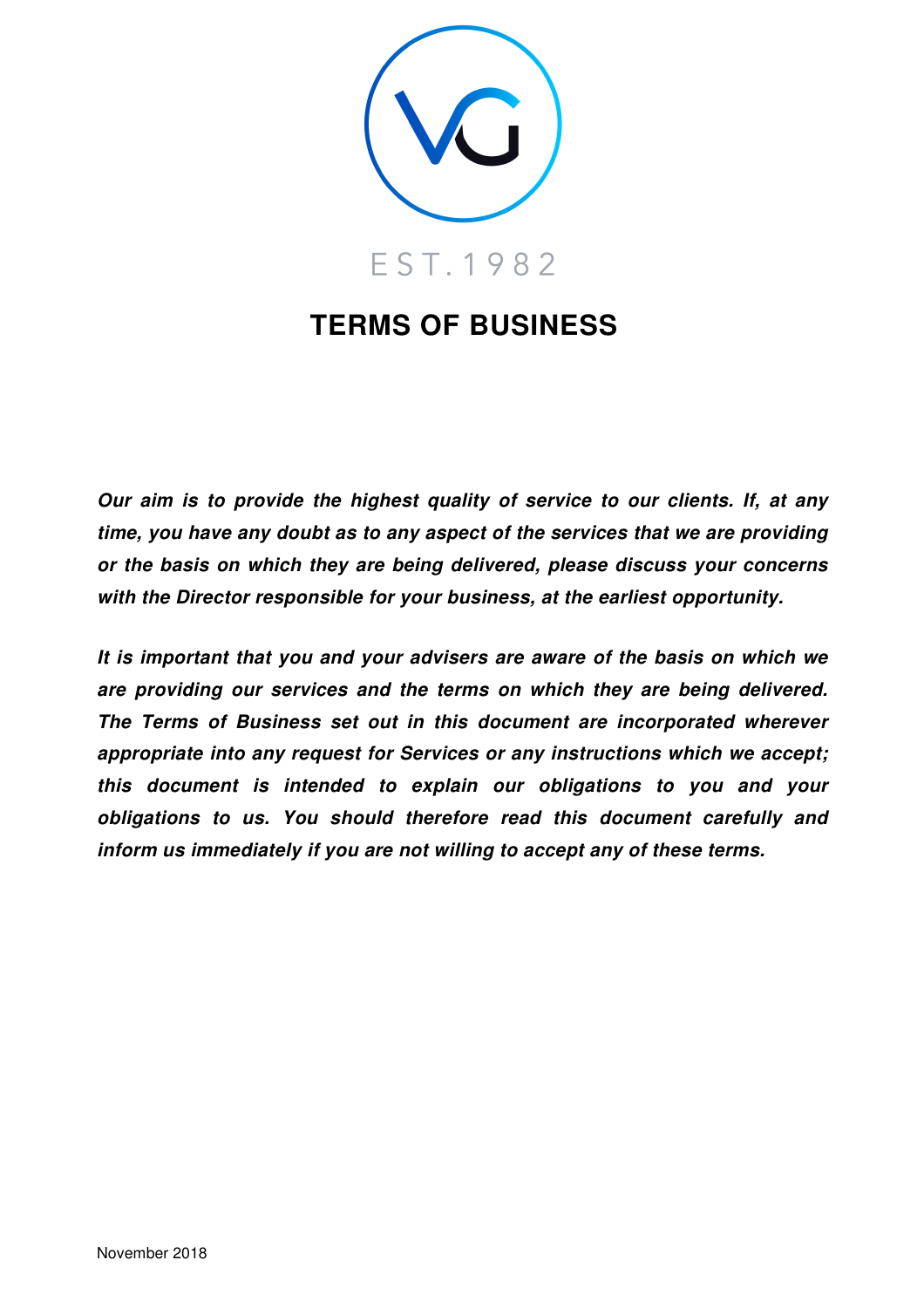

# **TERMS OF BUSINESS**

**Our aim is to provide the highest quality of service to our clients. If, at any time, you have any doubt as to any aspect of the services that we are providing or the basis on which they are being delivered, please discuss your concerns with the Director responsible for your business, at the earliest opportunity.** 

**It is important that you and your advisers are aware of the basis on which we are providing our services and the terms on which they are being delivered. The Terms of Business set out in this document are incorporated wherever appropriate into any request for Services or any instructions which we accept; this document is intended to explain our obligations to you and your obligations to us. You should therefore read this document carefully and inform us immediately if you are not willing to accept any of these terms.**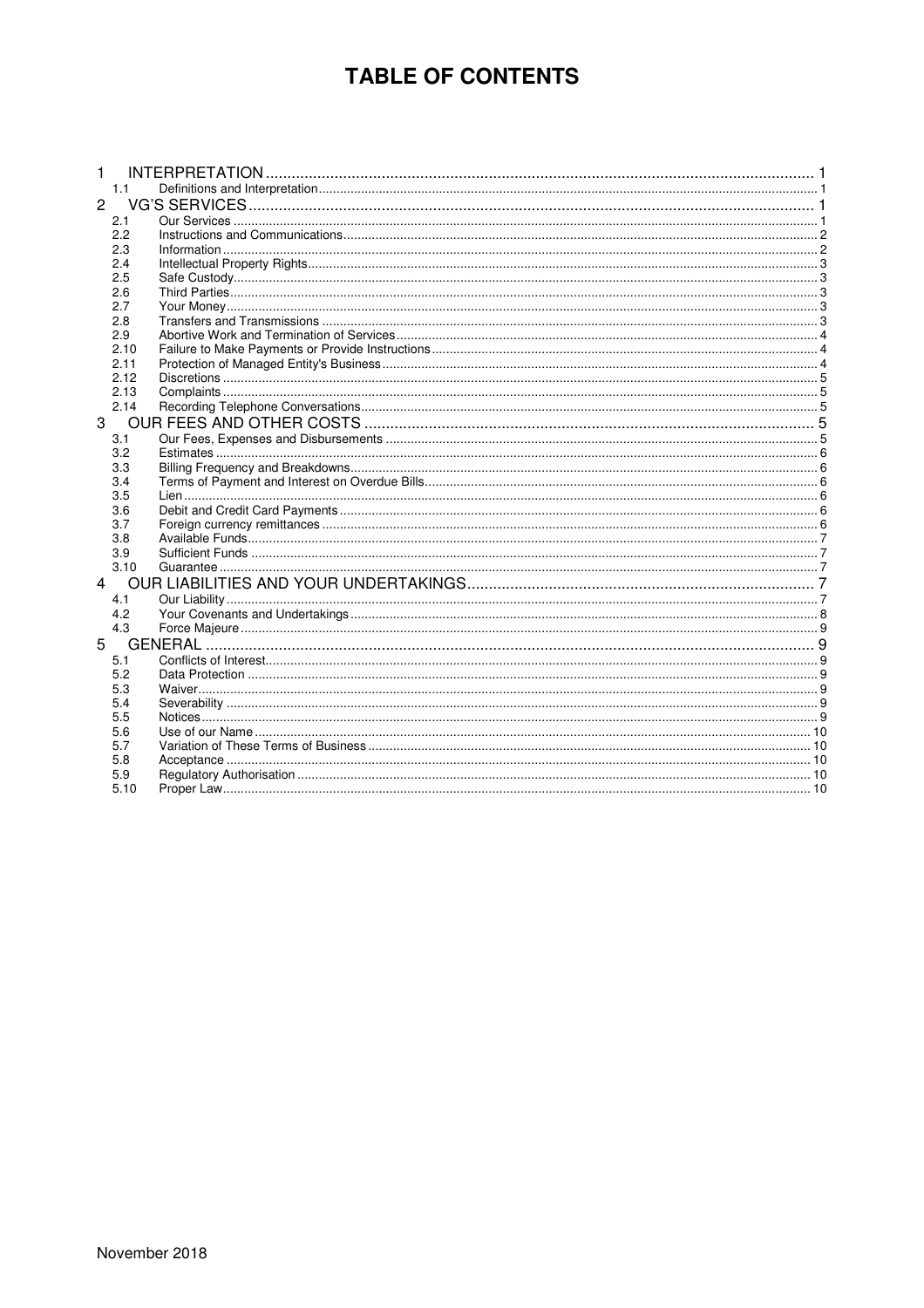# **TABLE OF CONTENTS**

|                | 1.1  |  |
|----------------|------|--|
| $\overline{2}$ |      |  |
|                | 2.1  |  |
|                | 2.2  |  |
|                | 2.3  |  |
|                | 2.4  |  |
|                | 2.5  |  |
|                | 2.6  |  |
|                | 2.7  |  |
|                | 2.8  |  |
|                | 2.9  |  |
|                | 2.10 |  |
|                | 2.11 |  |
|                | 2.12 |  |
|                | 2.13 |  |
|                | 2.14 |  |
| 3              |      |  |
|                | 3.1  |  |
|                | 3.2  |  |
|                | 3.3  |  |
|                | 3.4  |  |
|                | 3.5  |  |
|                | 3.6  |  |
|                | 3.7  |  |
|                | 3.8  |  |
|                | 3.9  |  |
|                | 3.10 |  |
| 4              |      |  |
|                | 4.1  |  |
|                | 4.2  |  |
|                | 4.3  |  |
| 5              |      |  |
|                | 5.1  |  |
|                | 5.2  |  |
|                | 5.3  |  |
|                | 5.4  |  |
|                | 5.5  |  |
|                | 5.6  |  |
|                | 5.7  |  |
|                | 5.8  |  |
|                | 5.9  |  |
|                | 5.10 |  |
|                |      |  |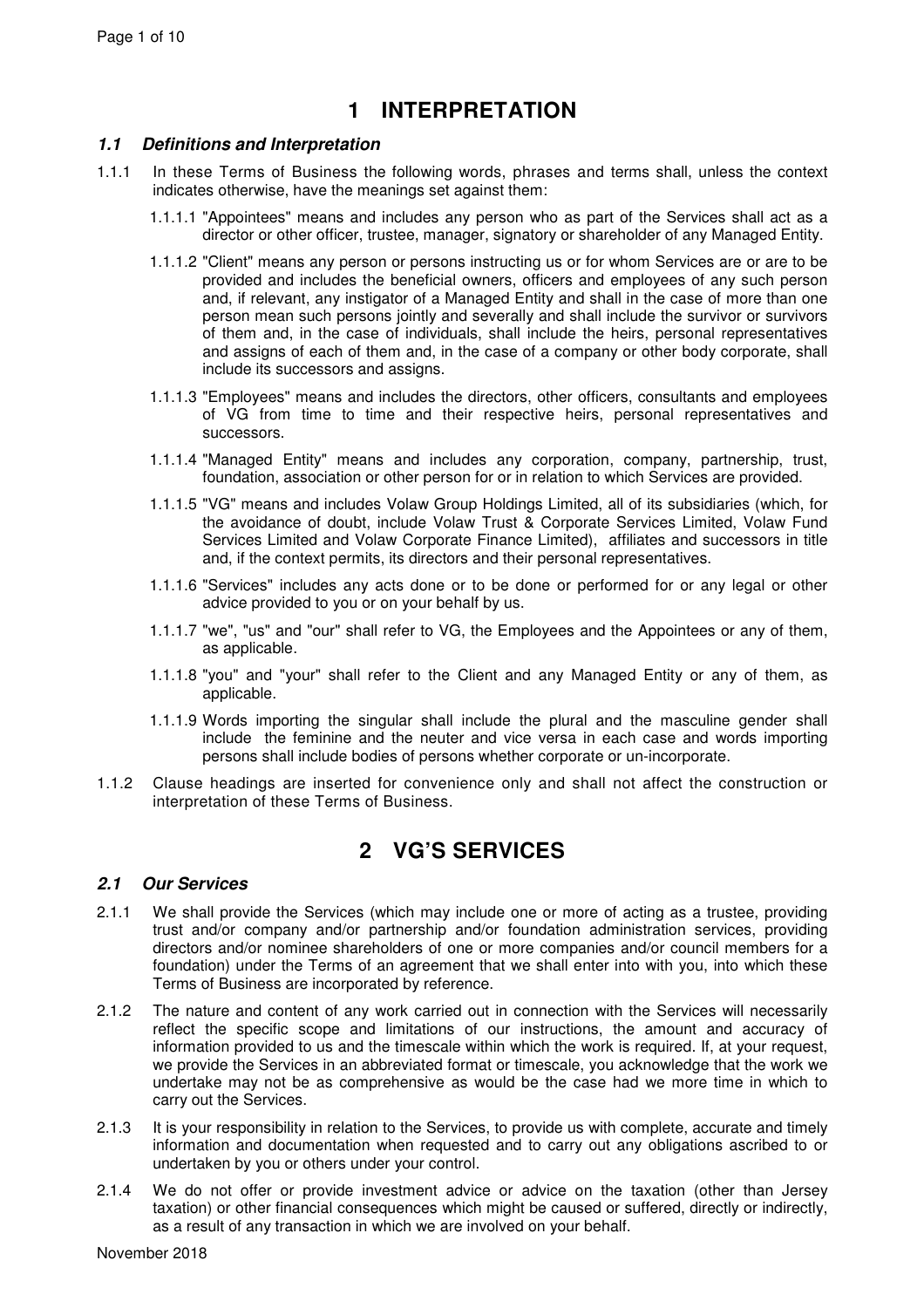# **1 INTERPRETATION**

### **1.1 Definitions and Interpretation**

- 1.1.1 In these Terms of Business the following words, phrases and terms shall, unless the context indicates otherwise, have the meanings set against them:
	- 1.1.1.1 "Appointees" means and includes any person who as part of the Services shall act as a director or other officer, trustee, manager, signatory or shareholder of any Managed Entity.
	- 1.1.1.2 "Client" means any person or persons instructing us or for whom Services are or are to be provided and includes the beneficial owners, officers and employees of any such person and, if relevant, any instigator of a Managed Entity and shall in the case of more than one person mean such persons jointly and severally and shall include the survivor or survivors of them and, in the case of individuals, shall include the heirs, personal representatives and assigns of each of them and, in the case of a company or other body corporate, shall include its successors and assigns.
	- 1.1.1.3 "Employees" means and includes the directors, other officers, consultants and employees of VG from time to time and their respective heirs, personal representatives and successors.
	- 1.1.1.4 "Managed Entity" means and includes any corporation, company, partnership, trust, foundation, association or other person for or in relation to which Services are provided.
	- 1.1.1.5 "VG" means and includes Volaw Group Holdings Limited, all of its subsidiaries (which, for the avoidance of doubt, include Volaw Trust & Corporate Services Limited, Volaw Fund Services Limited and Volaw Corporate Finance Limited), affiliates and successors in title and, if the context permits, its directors and their personal representatives.
	- 1.1.1.6 "Services" includes any acts done or to be done or performed for or any legal or other advice provided to you or on your behalf by us.
	- 1.1.1.7 "we", "us" and "our" shall refer to VG, the Employees and the Appointees or any of them, as applicable.
	- 1.1.1.8 "you" and "your" shall refer to the Client and any Managed Entity or any of them, as applicable.
	- 1.1.1.9 Words importing the singular shall include the plural and the masculine gender shall include the feminine and the neuter and vice versa in each case and words importing persons shall include bodies of persons whether corporate or un-incorporate.
- 1.1.2 Clause headings are inserted for convenience only and shall not affect the construction or interpretation of these Terms of Business.

# **2 VG'S SERVICES**

# **2.1 Our Services**

- 2.1.1 We shall provide the Services (which may include one or more of acting as a trustee, providing trust and/or company and/or partnership and/or foundation administration services, providing directors and/or nominee shareholders of one or more companies and/or council members for a foundation) under the Terms of an agreement that we shall enter into with you, into which these Terms of Business are incorporated by reference.
- 2.1.2 The nature and content of any work carried out in connection with the Services will necessarily reflect the specific scope and limitations of our instructions, the amount and accuracy of information provided to us and the timescale within which the work is required. If, at your request, we provide the Services in an abbreviated format or timescale, you acknowledge that the work we undertake may not be as comprehensive as would be the case had we more time in which to carry out the Services.
- 2.1.3 It is your responsibility in relation to the Services, to provide us with complete, accurate and timely information and documentation when requested and to carry out any obligations ascribed to or undertaken by you or others under your control.
- 2.1.4 We do not offer or provide investment advice or advice on the taxation (other than Jersey taxation) or other financial consequences which might be caused or suffered, directly or indirectly, as a result of any transaction in which we are involved on your behalf.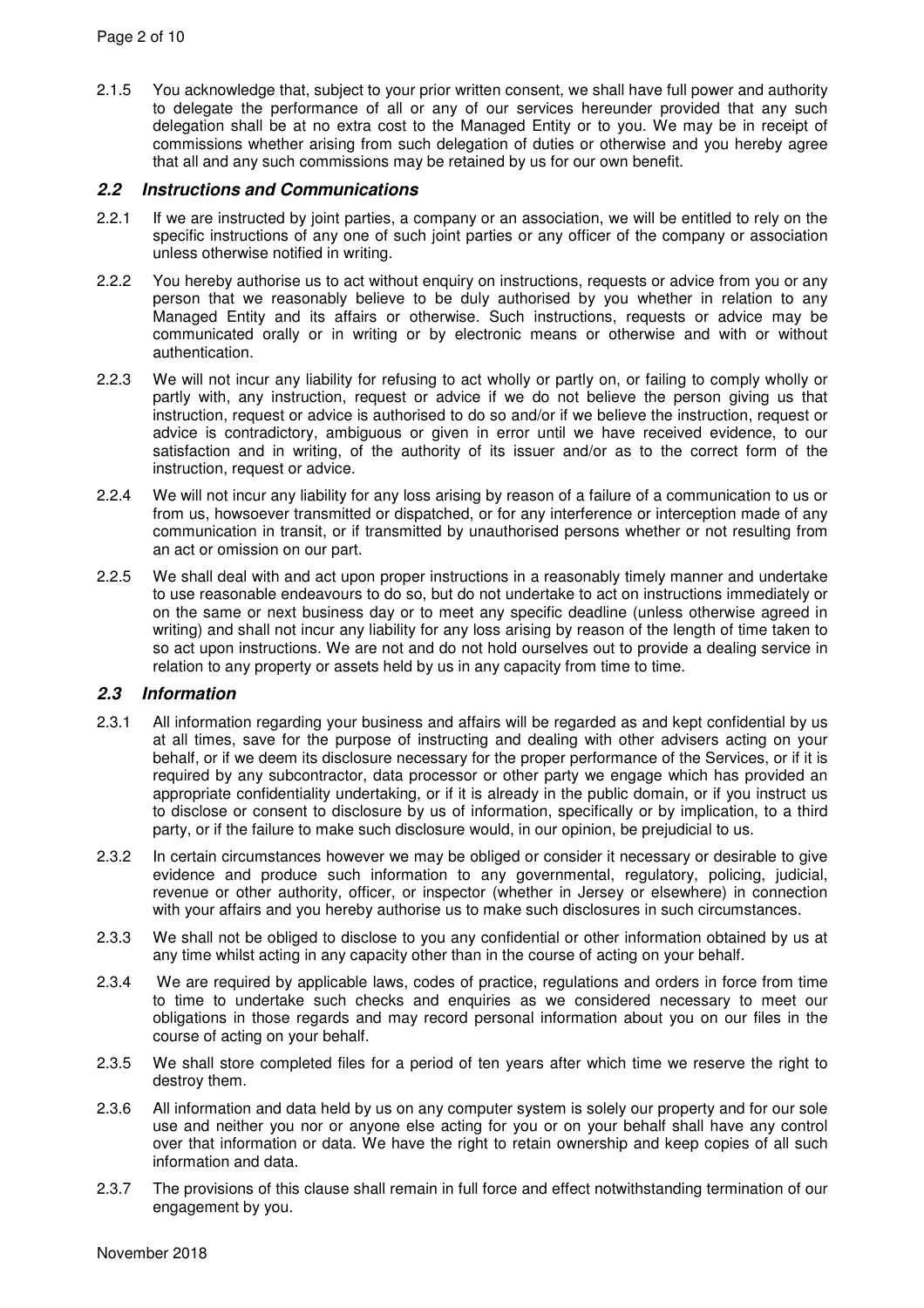2.1.5 You acknowledge that, subject to your prior written consent, we shall have full power and authority to delegate the performance of all or any of our services hereunder provided that any such delegation shall be at no extra cost to the Managed Entity or to you. We may be in receipt of commissions whether arising from such delegation of duties or otherwise and you hereby agree that all and any such commissions may be retained by us for our own benefit.

#### **2.2 Instructions and Communications**

- 2.2.1 If we are instructed by joint parties, a company or an association, we will be entitled to rely on the specific instructions of any one of such joint parties or any officer of the company or association unless otherwise notified in writing.
- 2.2.2 You hereby authorise us to act without enquiry on instructions, requests or advice from you or any person that we reasonably believe to be duly authorised by you whether in relation to any Managed Entity and its affairs or otherwise. Such instructions, requests or advice may be communicated orally or in writing or by electronic means or otherwise and with or without authentication.
- 2.2.3 We will not incur any liability for refusing to act wholly or partly on, or failing to comply wholly or partly with, any instruction, request or advice if we do not believe the person giving us that instruction, request or advice is authorised to do so and/or if we believe the instruction, request or advice is contradictory, ambiguous or given in error until we have received evidence, to our satisfaction and in writing, of the authority of its issuer and/or as to the correct form of the instruction, request or advice.
- 2.2.4 We will not incur any liability for any loss arising by reason of a failure of a communication to us or from us, howsoever transmitted or dispatched, or for any interference or interception made of any communication in transit, or if transmitted by unauthorised persons whether or not resulting from an act or omission on our part.
- 2.2.5 We shall deal with and act upon proper instructions in a reasonably timely manner and undertake to use reasonable endeavours to do so, but do not undertake to act on instructions immediately or on the same or next business day or to meet any specific deadline (unless otherwise agreed in writing) and shall not incur any liability for any loss arising by reason of the length of time taken to so act upon instructions. We are not and do not hold ourselves out to provide a dealing service in relation to any property or assets held by us in any capacity from time to time.

### **2.3 Information**

- 2.3.1 All information regarding your business and affairs will be regarded as and kept confidential by us at all times, save for the purpose of instructing and dealing with other advisers acting on your behalf, or if we deem its disclosure necessary for the proper performance of the Services, or if it is required by any subcontractor, data processor or other party we engage which has provided an appropriate confidentiality undertaking, or if it is already in the public domain, or if you instruct us to disclose or consent to disclosure by us of information, specifically or by implication, to a third party, or if the failure to make such disclosure would, in our opinion, be prejudicial to us.
- 2.3.2 In certain circumstances however we may be obliged or consider it necessary or desirable to give evidence and produce such information to any governmental, regulatory, policing, judicial, revenue or other authority, officer, or inspector (whether in Jersey or elsewhere) in connection with your affairs and you hereby authorise us to make such disclosures in such circumstances.
- 2.3.3 We shall not be obliged to disclose to you any confidential or other information obtained by us at any time whilst acting in any capacity other than in the course of acting on your behalf.
- 2.3.4 We are required by applicable laws, codes of practice, regulations and orders in force from time to time to undertake such checks and enquiries as we considered necessary to meet our obligations in those regards and may record personal information about you on our files in the course of acting on your behalf.
- 2.3.5 We shall store completed files for a period of ten years after which time we reserve the right to destroy them.
- 2.3.6 All information and data held by us on any computer system is solely our property and for our sole use and neither you nor or anyone else acting for you or on your behalf shall have any control over that information or data. We have the right to retain ownership and keep copies of all such information and data.
- 2.3.7 The provisions of this clause shall remain in full force and effect notwithstanding termination of our engagement by you.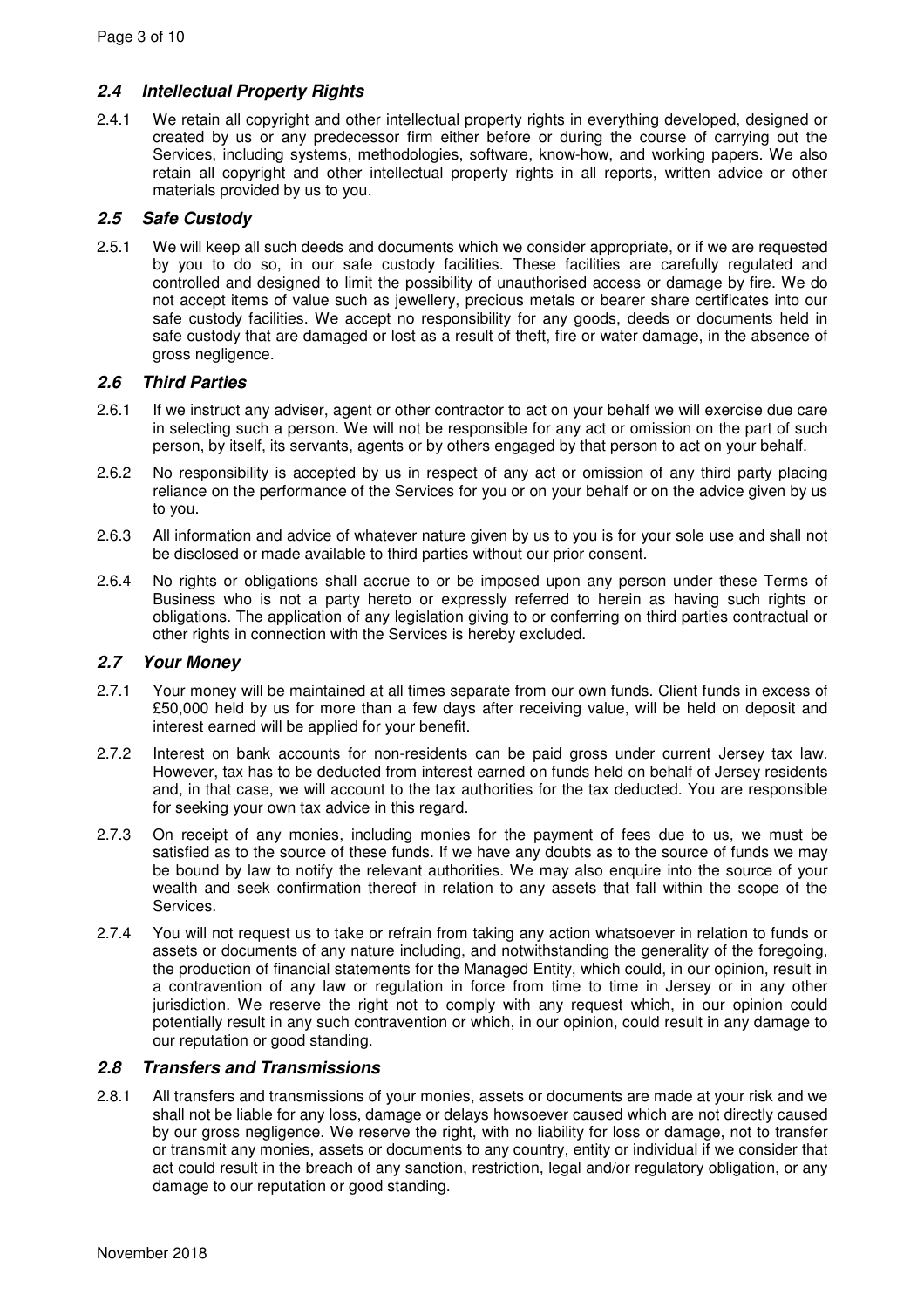# **2.4 Intellectual Property Rights**

2.4.1 We retain all copyright and other intellectual property rights in everything developed, designed or created by us or any predecessor firm either before or during the course of carrying out the Services, including systems, methodologies, software, know-how, and working papers. We also retain all copyright and other intellectual property rights in all reports, written advice or other materials provided by us to you.

# **2.5 Safe Custody**

2.5.1 We will keep all such deeds and documents which we consider appropriate, or if we are requested by you to do so, in our safe custody facilities. These facilities are carefully regulated and controlled and designed to limit the possibility of unauthorised access or damage by fire. We do not accept items of value such as jewellery, precious metals or bearer share certificates into our safe custody facilities. We accept no responsibility for any goods, deeds or documents held in safe custody that are damaged or lost as a result of theft, fire or water damage, in the absence of gross negligence.

# **2.6 Third Parties**

- 2.6.1 If we instruct any adviser, agent or other contractor to act on your behalf we will exercise due care in selecting such a person. We will not be responsible for any act or omission on the part of such person, by itself, its servants, agents or by others engaged by that person to act on your behalf.
- 2.6.2 No responsibility is accepted by us in respect of any act or omission of any third party placing reliance on the performance of the Services for you or on your behalf or on the advice given by us to you.
- 2.6.3 All information and advice of whatever nature given by us to you is for your sole use and shall not be disclosed or made available to third parties without our prior consent.
- 2.6.4 No rights or obligations shall accrue to or be imposed upon any person under these Terms of Business who is not a party hereto or expressly referred to herein as having such rights or obligations. The application of any legislation giving to or conferring on third parties contractual or other rights in connection with the Services is hereby excluded.

# **2.7 Your Money**

- 2.7.1 Your money will be maintained at all times separate from our own funds. Client funds in excess of £50,000 held by us for more than a few days after receiving value, will be held on deposit and interest earned will be applied for your benefit.
- 2.7.2 Interest on bank accounts for non-residents can be paid gross under current Jersey tax law. However, tax has to be deducted from interest earned on funds held on behalf of Jersey residents and, in that case, we will account to the tax authorities for the tax deducted. You are responsible for seeking your own tax advice in this regard.
- 2.7.3 On receipt of any monies, including monies for the payment of fees due to us, we must be satisfied as to the source of these funds. If we have any doubts as to the source of funds we may be bound by law to notify the relevant authorities. We may also enquire into the source of your wealth and seek confirmation thereof in relation to any assets that fall within the scope of the Services.
- 2.7.4 You will not request us to take or refrain from taking any action whatsoever in relation to funds or assets or documents of any nature including, and notwithstanding the generality of the foregoing, the production of financial statements for the Managed Entity, which could, in our opinion, result in a contravention of any law or regulation in force from time to time in Jersey or in any other jurisdiction. We reserve the right not to comply with any request which, in our opinion could potentially result in any such contravention or which, in our opinion, could result in any damage to our reputation or good standing.

# **2.8 Transfers and Transmissions**

2.8.1 All transfers and transmissions of your monies, assets or documents are made at your risk and we shall not be liable for any loss, damage or delays howsoever caused which are not directly caused by our gross negligence. We reserve the right, with no liability for loss or damage, not to transfer or transmit any monies, assets or documents to any country, entity or individual if we consider that act could result in the breach of any sanction, restriction, legal and/or regulatory obligation, or any damage to our reputation or good standing.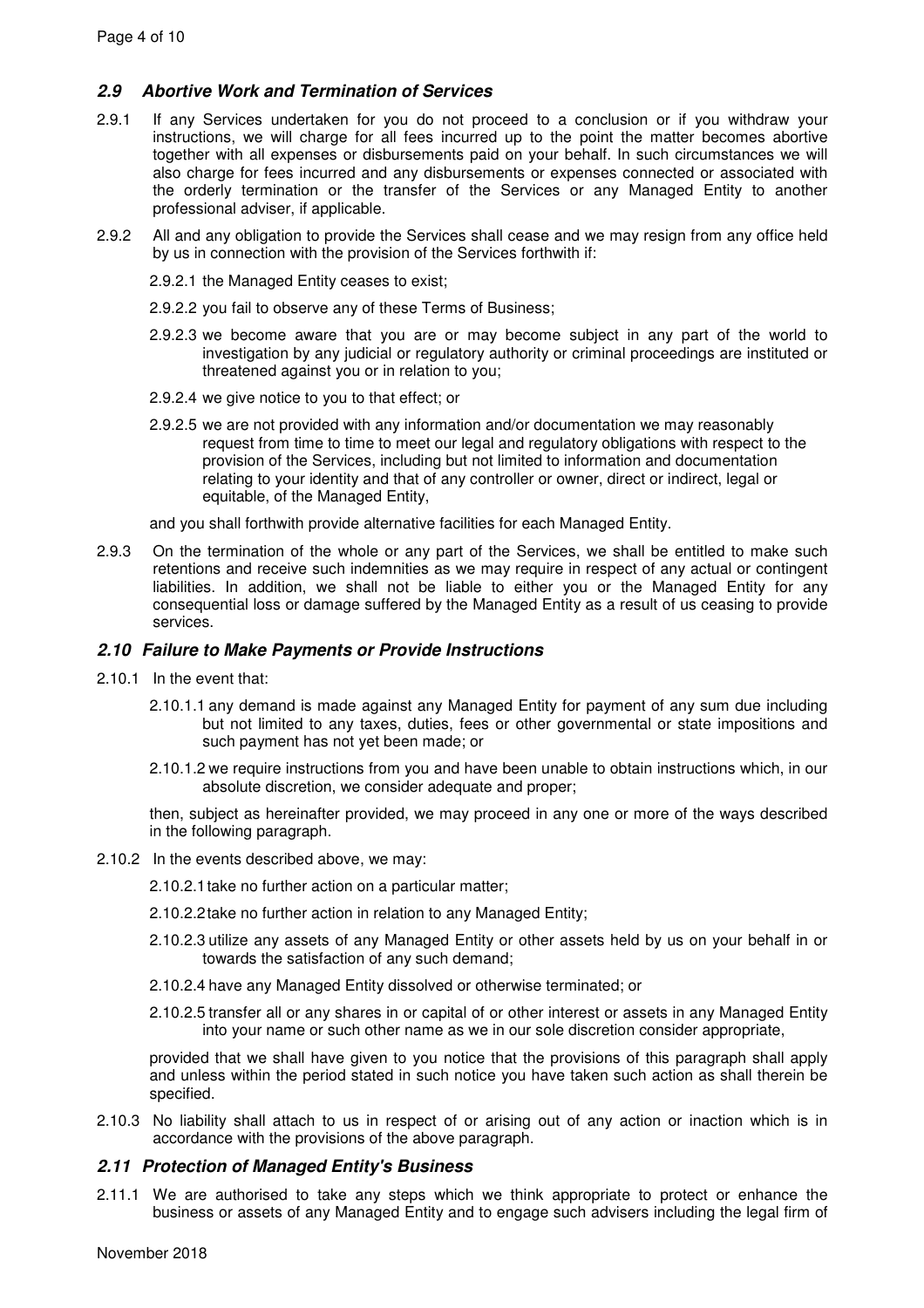# **2.9 Abortive Work and Termination of Services**

- 2.9.1 If any Services undertaken for you do not proceed to a conclusion or if you withdraw your instructions, we will charge for all fees incurred up to the point the matter becomes abortive together with all expenses or disbursements paid on your behalf. In such circumstances we will also charge for fees incurred and any disbursements or expenses connected or associated with the orderly termination or the transfer of the Services or any Managed Entity to another professional adviser, if applicable.
- 2.9.2 All and any obligation to provide the Services shall cease and we may resign from any office held by us in connection with the provision of the Services forthwith if:
	- 2.9.2.1 the Managed Entity ceases to exist;
	- 2.9.2.2 you fail to observe any of these Terms of Business;
	- 2.9.2.3 we become aware that you are or may become subject in any part of the world to investigation by any judicial or regulatory authority or criminal proceedings are instituted or threatened against you or in relation to you;
	- 2.9.2.4 we give notice to you to that effect; or
	- 2.9.2.5 we are not provided with any information and/or documentation we may reasonably request from time to time to meet our legal and regulatory obligations with respect to the provision of the Services, including but not limited to information and documentation relating to your identity and that of any controller or owner, direct or indirect, legal or equitable, of the Managed Entity,

and you shall forthwith provide alternative facilities for each Managed Entity.

2.9.3 On the termination of the whole or any part of the Services, we shall be entitled to make such retentions and receive such indemnities as we may require in respect of any actual or contingent liabilities. In addition, we shall not be liable to either you or the Managed Entity for any consequential loss or damage suffered by the Managed Entity as a result of us ceasing to provide services.

### **2.10 Failure to Make Payments or Provide Instructions**

- 2.10.1 In the event that:
	- 2.10.1.1 any demand is made against any Managed Entity for payment of any sum due including but not limited to any taxes, duties, fees or other governmental or state impositions and such payment has not yet been made; or
	- 2.10.1.2 we require instructions from you and have been unable to obtain instructions which, in our absolute discretion, we consider adequate and proper;

then, subject as hereinafter provided, we may proceed in any one or more of the ways described in the following paragraph.

- 2.10.2 In the events described above, we may:
	- 2.10.2.1 take no further action on a particular matter;
	- 2.10.2.2 take no further action in relation to any Managed Entity;
	- 2.10.2.3 utilize any assets of any Managed Entity or other assets held by us on your behalf in or towards the satisfaction of any such demand;
	- 2.10.2.4 have any Managed Entity dissolved or otherwise terminated; or
	- 2.10.2.5 transfer all or any shares in or capital of or other interest or assets in any Managed Entity into your name or such other name as we in our sole discretion consider appropriate,

provided that we shall have given to you notice that the provisions of this paragraph shall apply and unless within the period stated in such notice you have taken such action as shall therein be specified.

2.10.3 No liability shall attach to us in respect of or arising out of any action or inaction which is in accordance with the provisions of the above paragraph.

#### **2.11 Protection of Managed Entity's Business**

2.11.1 We are authorised to take any steps which we think appropriate to protect or enhance the business or assets of any Managed Entity and to engage such advisers including the legal firm of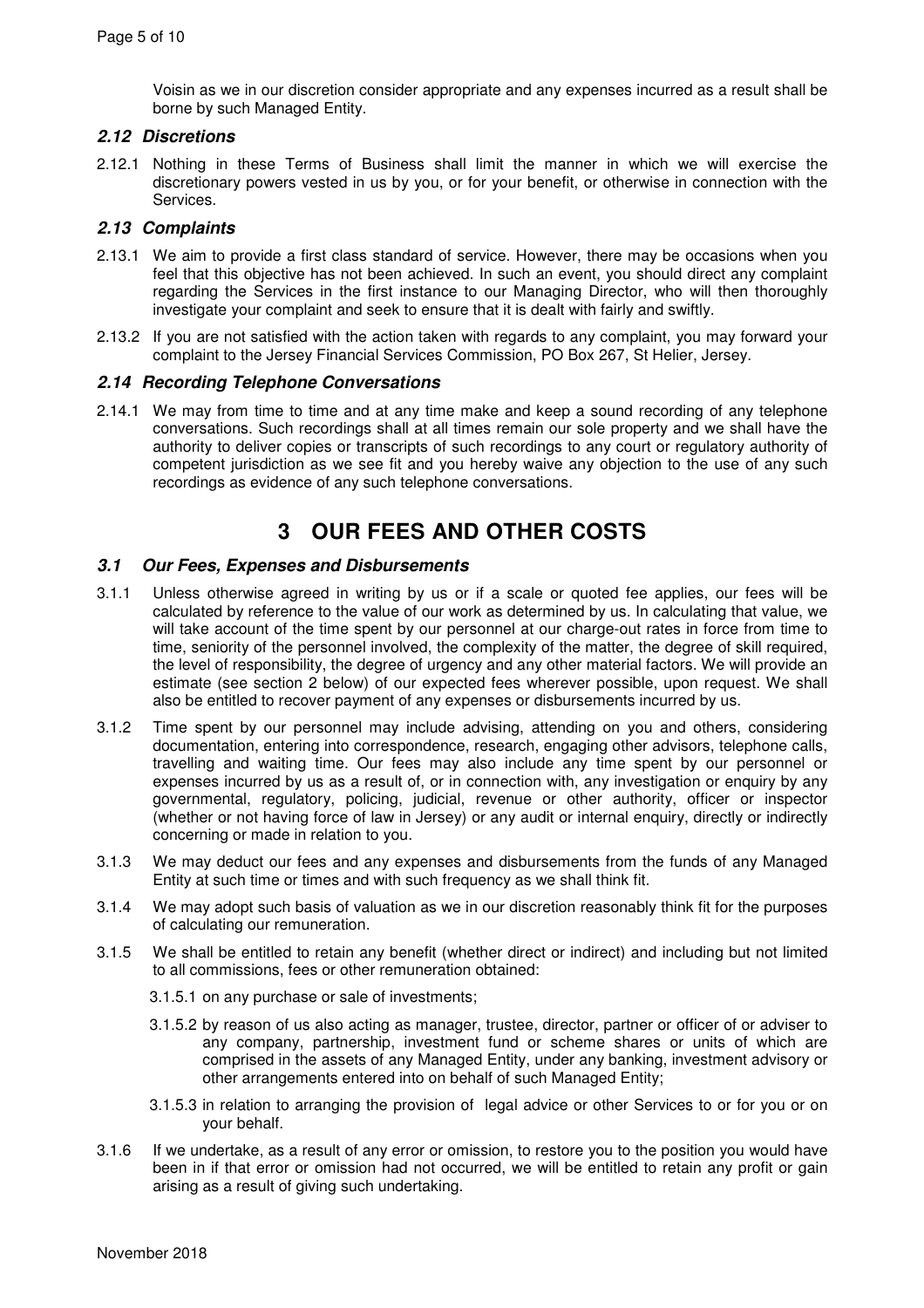Voisin as we in our discretion consider appropriate and any expenses incurred as a result shall be borne by such Managed Entity.

# **2.12 Discretions**

2.12.1 Nothing in these Terms of Business shall limit the manner in which we will exercise the discretionary powers vested in us by you, or for your benefit, or otherwise in connection with the Services.

#### **2.13 Complaints**

- 2.13.1 We aim to provide a first class standard of service. However, there may be occasions when you feel that this objective has not been achieved. In such an event, you should direct any complaint regarding the Services in the first instance to our Managing Director, who will then thoroughly investigate your complaint and seek to ensure that it is dealt with fairly and swiftly.
- 2.13.2 If you are not satisfied with the action taken with regards to any complaint, you may forward your complaint to the Jersey Financial Services Commission, PO Box 267, St Helier, Jersey.

#### **2.14 Recording Telephone Conversations**

2.14.1 We may from time to time and at any time make and keep a sound recording of any telephone conversations. Such recordings shall at all times remain our sole property and we shall have the authority to deliver copies or transcripts of such recordings to any court or regulatory authority of competent jurisdiction as we see fit and you hereby waive any objection to the use of any such recordings as evidence of any such telephone conversations.

# **3 OUR FEES AND OTHER COSTS**

#### **3.1 Our Fees, Expenses and Disbursements**

- 3.1.1 Unless otherwise agreed in writing by us or if a scale or quoted fee applies, our fees will be calculated by reference to the value of our work as determined by us. In calculating that value, we will take account of the time spent by our personnel at our charge-out rates in force from time to time, seniority of the personnel involved, the complexity of the matter, the degree of skill required, the level of responsibility, the degree of urgency and any other material factors. We will provide an estimate (see section 2 below) of our expected fees wherever possible, upon request. We shall also be entitled to recover payment of any expenses or disbursements incurred by us.
- 3.1.2 Time spent by our personnel may include advising, attending on you and others, considering documentation, entering into correspondence, research, engaging other advisors, telephone calls, travelling and waiting time. Our fees may also include any time spent by our personnel or expenses incurred by us as a result of, or in connection with, any investigation or enquiry by any governmental, regulatory, policing, judicial, revenue or other authority, officer or inspector (whether or not having force of law in Jersey) or any audit or internal enquiry, directly or indirectly concerning or made in relation to you.
- 3.1.3 We may deduct our fees and any expenses and disbursements from the funds of any Managed Entity at such time or times and with such frequency as we shall think fit.
- 3.1.4 We may adopt such basis of valuation as we in our discretion reasonably think fit for the purposes of calculating our remuneration.
- 3.1.5 We shall be entitled to retain any benefit (whether direct or indirect) and including but not limited to all commissions, fees or other remuneration obtained:
	- 3.1.5.1 on any purchase or sale of investments;
	- 3.1.5.2 by reason of us also acting as manager, trustee, director, partner or officer of or adviser to any company, partnership, investment fund or scheme shares or units of which are comprised in the assets of any Managed Entity, under any banking, investment advisory or other arrangements entered into on behalf of such Managed Entity;
	- 3.1.5.3 in relation to arranging the provision of legal advice or other Services to or for you or on your behalf.
- 3.1.6 If we undertake, as a result of any error or omission, to restore you to the position you would have been in if that error or omission had not occurred, we will be entitled to retain any profit or gain arising as a result of giving such undertaking.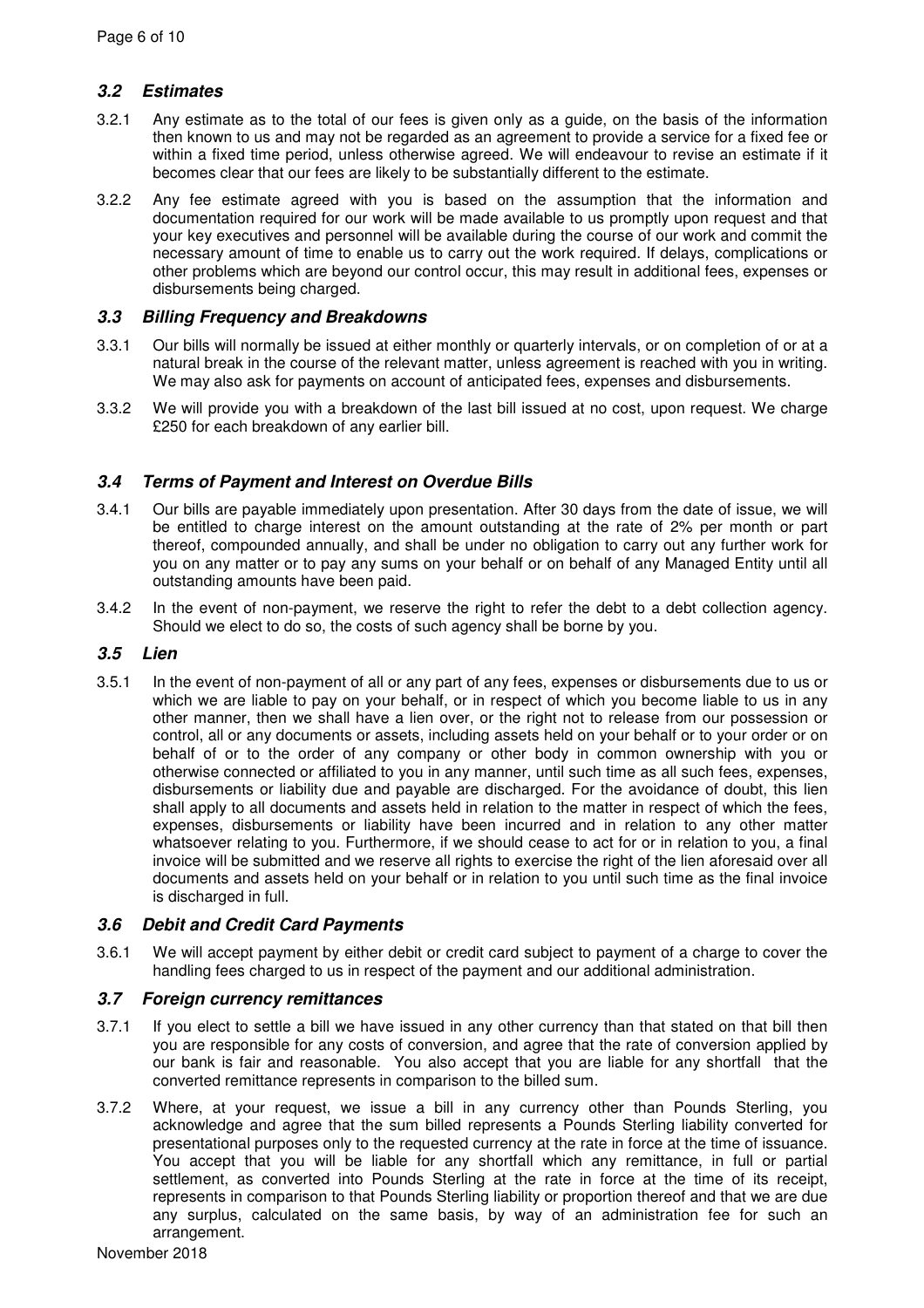# **3.2 Estimates**

- 3.2.1 Any estimate as to the total of our fees is given only as a guide, on the basis of the information then known to us and may not be regarded as an agreement to provide a service for a fixed fee or within a fixed time period, unless otherwise agreed. We will endeavour to revise an estimate if it becomes clear that our fees are likely to be substantially different to the estimate.
- 3.2.2 Any fee estimate agreed with you is based on the assumption that the information and documentation required for our work will be made available to us promptly upon request and that your key executives and personnel will be available during the course of our work and commit the necessary amount of time to enable us to carry out the work required. If delays, complications or other problems which are beyond our control occur, this may result in additional fees, expenses or disbursements being charged.

# **3.3 Billing Frequency and Breakdowns**

- 3.3.1 Our bills will normally be issued at either monthly or quarterly intervals, or on completion of or at a natural break in the course of the relevant matter, unless agreement is reached with you in writing. We may also ask for payments on account of anticipated fees, expenses and disbursements.
- 3.3.2 We will provide you with a breakdown of the last bill issued at no cost, upon request. We charge £250 for each breakdown of any earlier bill.

# **3.4 Terms of Payment and Interest on Overdue Bills**

- 3.4.1 Our bills are payable immediately upon presentation. After 30 days from the date of issue, we will be entitled to charge interest on the amount outstanding at the rate of 2% per month or part thereof, compounded annually, and shall be under no obligation to carry out any further work for you on any matter or to pay any sums on your behalf or on behalf of any Managed Entity until all outstanding amounts have been paid.
- 3.4.2 In the event of non-payment, we reserve the right to refer the debt to a debt collection agency. Should we elect to do so, the costs of such agency shall be borne by you.

# **3.5 Lien**

3.5.1 In the event of non-payment of all or any part of any fees, expenses or disbursements due to us or which we are liable to pay on your behalf, or in respect of which you become liable to us in any other manner, then we shall have a lien over, or the right not to release from our possession or control, all or any documents or assets, including assets held on your behalf or to your order or on behalf of or to the order of any company or other body in common ownership with you or otherwise connected or affiliated to you in any manner, until such time as all such fees, expenses, disbursements or liability due and payable are discharged. For the avoidance of doubt, this lien shall apply to all documents and assets held in relation to the matter in respect of which the fees, expenses, disbursements or liability have been incurred and in relation to any other matter whatsoever relating to you. Furthermore, if we should cease to act for or in relation to you, a final invoice will be submitted and we reserve all rights to exercise the right of the lien aforesaid over all documents and assets held on your behalf or in relation to you until such time as the final invoice is discharged in full.

### **3.6 Debit and Credit Card Payments**

3.6.1 We will accept payment by either debit or credit card subject to payment of a charge to cover the handling fees charged to us in respect of the payment and our additional administration.

### **3.7 Foreign currency remittances**

- 3.7.1 If you elect to settle a bill we have issued in any other currency than that stated on that bill then you are responsible for any costs of conversion, and agree that the rate of conversion applied by our bank is fair and reasonable. You also accept that you are liable for any shortfall that the converted remittance represents in comparison to the billed sum.
- 3.7.2 Where, at your request, we issue a bill in any currency other than Pounds Sterling, you acknowledge and agree that the sum billed represents a Pounds Sterling liability converted for presentational purposes only to the requested currency at the rate in force at the time of issuance. You accept that you will be liable for any shortfall which any remittance, in full or partial settlement, as converted into Pounds Sterling at the rate in force at the time of its receipt, represents in comparison to that Pounds Sterling liability or proportion thereof and that we are due any surplus, calculated on the same basis, by way of an administration fee for such an arrangement.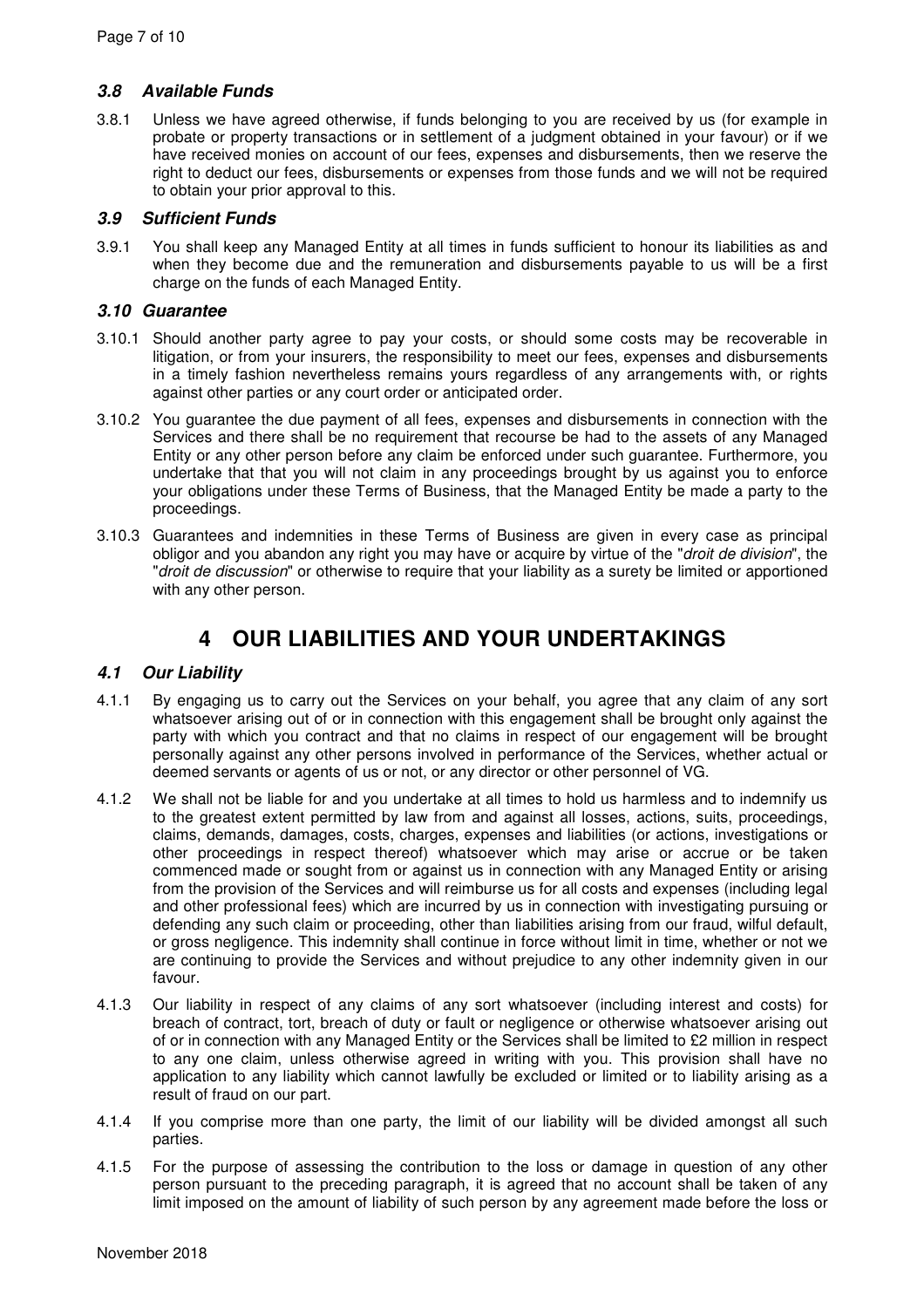# **3.8 Available Funds**

3.8.1 Unless we have agreed otherwise, if funds belonging to you are received by us (for example in probate or property transactions or in settlement of a judgment obtained in your favour) or if we have received monies on account of our fees, expenses and disbursements, then we reserve the right to deduct our fees, disbursements or expenses from those funds and we will not be required to obtain your prior approval to this.

# **3.9 Sufficient Funds**

3.9.1 You shall keep any Managed Entity at all times in funds sufficient to honour its liabilities as and when they become due and the remuneration and disbursements payable to us will be a first charge on the funds of each Managed Entity.

# **3.10 Guarantee**

- 3.10.1 Should another party agree to pay your costs, or should some costs may be recoverable in litigation, or from your insurers, the responsibility to meet our fees, expenses and disbursements in a timely fashion nevertheless remains yours regardless of any arrangements with, or rights against other parties or any court order or anticipated order.
- 3.10.2 You guarantee the due payment of all fees, expenses and disbursements in connection with the Services and there shall be no requirement that recourse be had to the assets of any Managed Entity or any other person before any claim be enforced under such guarantee. Furthermore, you undertake that that you will not claim in any proceedings brought by us against you to enforce your obligations under these Terms of Business, that the Managed Entity be made a party to the proceedings.
- 3.10.3 Guarantees and indemnities in these Terms of Business are given in every case as principal obligor and you abandon any right you may have or acquire by virtue of the "droit de division", the "droit de discussion" or otherwise to require that your liability as a surety be limited or apportioned with any other person.

# **4 OUR LIABILITIES AND YOUR UNDERTAKINGS**

# **4.1 Our Liability**

- 4.1.1 By engaging us to carry out the Services on your behalf, you agree that any claim of any sort whatsoever arising out of or in connection with this engagement shall be brought only against the party with which you contract and that no claims in respect of our engagement will be brought personally against any other persons involved in performance of the Services, whether actual or deemed servants or agents of us or not, or any director or other personnel of VG.
- 4.1.2 We shall not be liable for and you undertake at all times to hold us harmless and to indemnify us to the greatest extent permitted by law from and against all losses, actions, suits, proceedings, claims, demands, damages, costs, charges, expenses and liabilities (or actions, investigations or other proceedings in respect thereof) whatsoever which may arise or accrue or be taken commenced made or sought from or against us in connection with any Managed Entity or arising from the provision of the Services and will reimburse us for all costs and expenses (including legal and other professional fees) which are incurred by us in connection with investigating pursuing or defending any such claim or proceeding, other than liabilities arising from our fraud, wilful default, or gross negligence. This indemnity shall continue in force without limit in time, whether or not we are continuing to provide the Services and without prejudice to any other indemnity given in our favour.
- 4.1.3 Our liability in respect of any claims of any sort whatsoever (including interest and costs) for breach of contract, tort, breach of duty or fault or negligence or otherwise whatsoever arising out of or in connection with any Managed Entity or the Services shall be limited to £2 million in respect to any one claim, unless otherwise agreed in writing with you. This provision shall have no application to any liability which cannot lawfully be excluded or limited or to liability arising as a result of fraud on our part.
- 4.1.4 If you comprise more than one party, the limit of our liability will be divided amongst all such parties.
- 4.1.5 For the purpose of assessing the contribution to the loss or damage in question of any other person pursuant to the preceding paragraph, it is agreed that no account shall be taken of any limit imposed on the amount of liability of such person by any agreement made before the loss or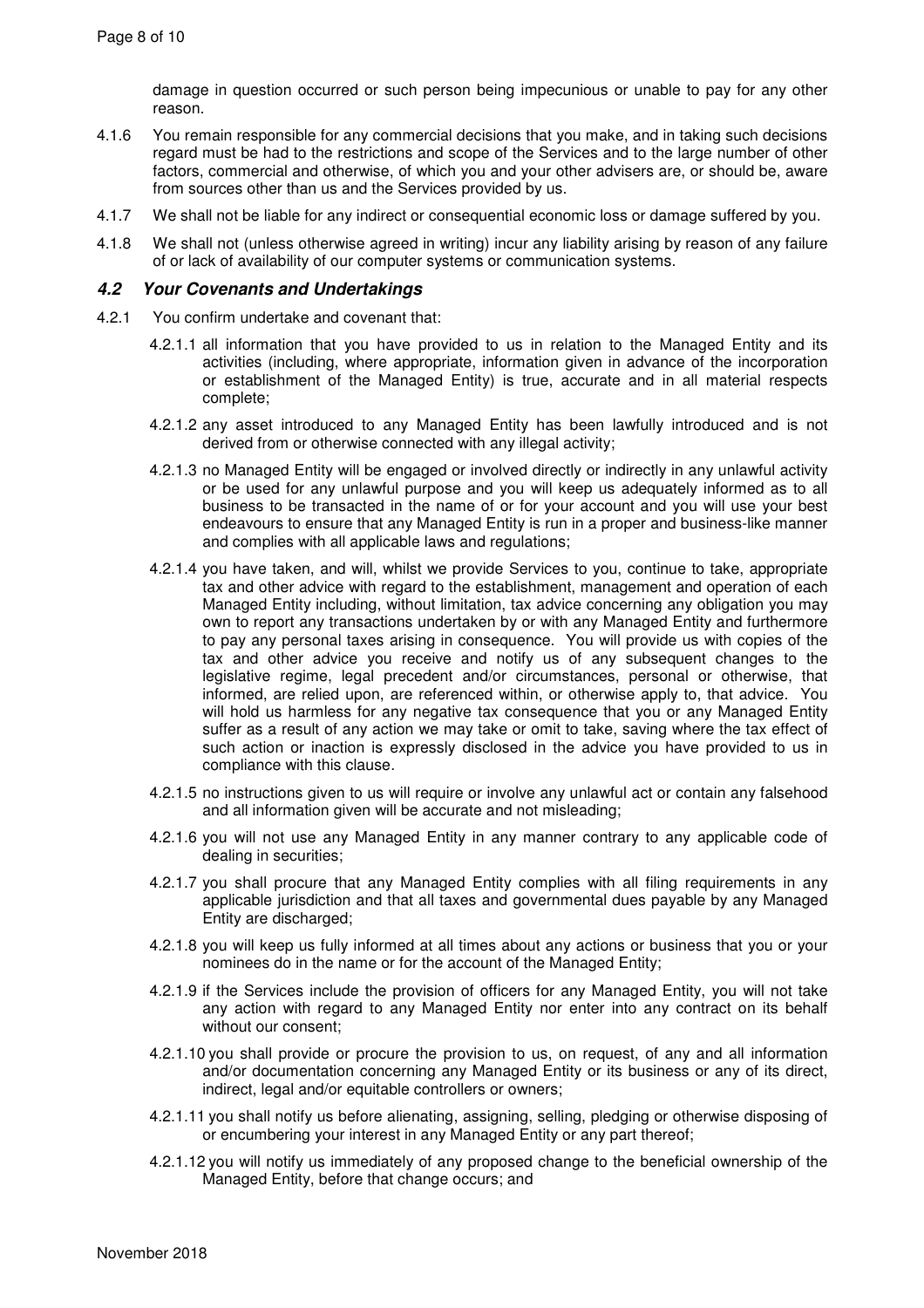damage in question occurred or such person being impecunious or unable to pay for any other reason.

- 4.1.6 You remain responsible for any commercial decisions that you make, and in taking such decisions regard must be had to the restrictions and scope of the Services and to the large number of other factors, commercial and otherwise, of which you and your other advisers are, or should be, aware from sources other than us and the Services provided by us.
- 4.1.7 We shall not be liable for any indirect or consequential economic loss or damage suffered by you.
- 4.1.8 We shall not (unless otherwise agreed in writing) incur any liability arising by reason of any failure of or lack of availability of our computer systems or communication systems.

#### **4.2 Your Covenants and Undertakings**

- 4.2.1 You confirm undertake and covenant that:
	- 4.2.1.1 all information that you have provided to us in relation to the Managed Entity and its activities (including, where appropriate, information given in advance of the incorporation or establishment of the Managed Entity) is true, accurate and in all material respects complete;
	- 4.2.1.2 any asset introduced to any Managed Entity has been lawfully introduced and is not derived from or otherwise connected with any illegal activity;
	- 4.2.1.3 no Managed Entity will be engaged or involved directly or indirectly in any unlawful activity or be used for any unlawful purpose and you will keep us adequately informed as to all business to be transacted in the name of or for your account and you will use your best endeavours to ensure that any Managed Entity is run in a proper and business-like manner and complies with all applicable laws and regulations;
	- 4.2.1.4 you have taken, and will, whilst we provide Services to you, continue to take, appropriate tax and other advice with regard to the establishment, management and operation of each Managed Entity including, without limitation, tax advice concerning any obligation you may own to report any transactions undertaken by or with any Managed Entity and furthermore to pay any personal taxes arising in consequence. You will provide us with copies of the tax and other advice you receive and notify us of any subsequent changes to the legislative regime, legal precedent and/or circumstances, personal or otherwise, that informed, are relied upon, are referenced within, or otherwise apply to, that advice. You will hold us harmless for any negative tax consequence that you or any Managed Entity suffer as a result of any action we may take or omit to take, saving where the tax effect of such action or inaction is expressly disclosed in the advice you have provided to us in compliance with this clause.
	- 4.2.1.5 no instructions given to us will require or involve any unlawful act or contain any falsehood and all information given will be accurate and not misleading;
	- 4.2.1.6 you will not use any Managed Entity in any manner contrary to any applicable code of dealing in securities;
	- 4.2.1.7 you shall procure that any Managed Entity complies with all filing requirements in any applicable jurisdiction and that all taxes and governmental dues payable by any Managed Entity are discharged;
	- 4.2.1.8 you will keep us fully informed at all times about any actions or business that you or your nominees do in the name or for the account of the Managed Entity;
	- 4.2.1.9 if the Services include the provision of officers for any Managed Entity, you will not take any action with regard to any Managed Entity nor enter into any contract on its behalf without our consent;
	- 4.2.1.10 you shall provide or procure the provision to us, on request, of any and all information and/or documentation concerning any Managed Entity or its business or any of its direct, indirect, legal and/or equitable controllers or owners;
	- 4.2.1.11 you shall notify us before alienating, assigning, selling, pledging or otherwise disposing of or encumbering your interest in any Managed Entity or any part thereof;
	- 4.2.1.12 you will notify us immediately of any proposed change to the beneficial ownership of the Managed Entity, before that change occurs; and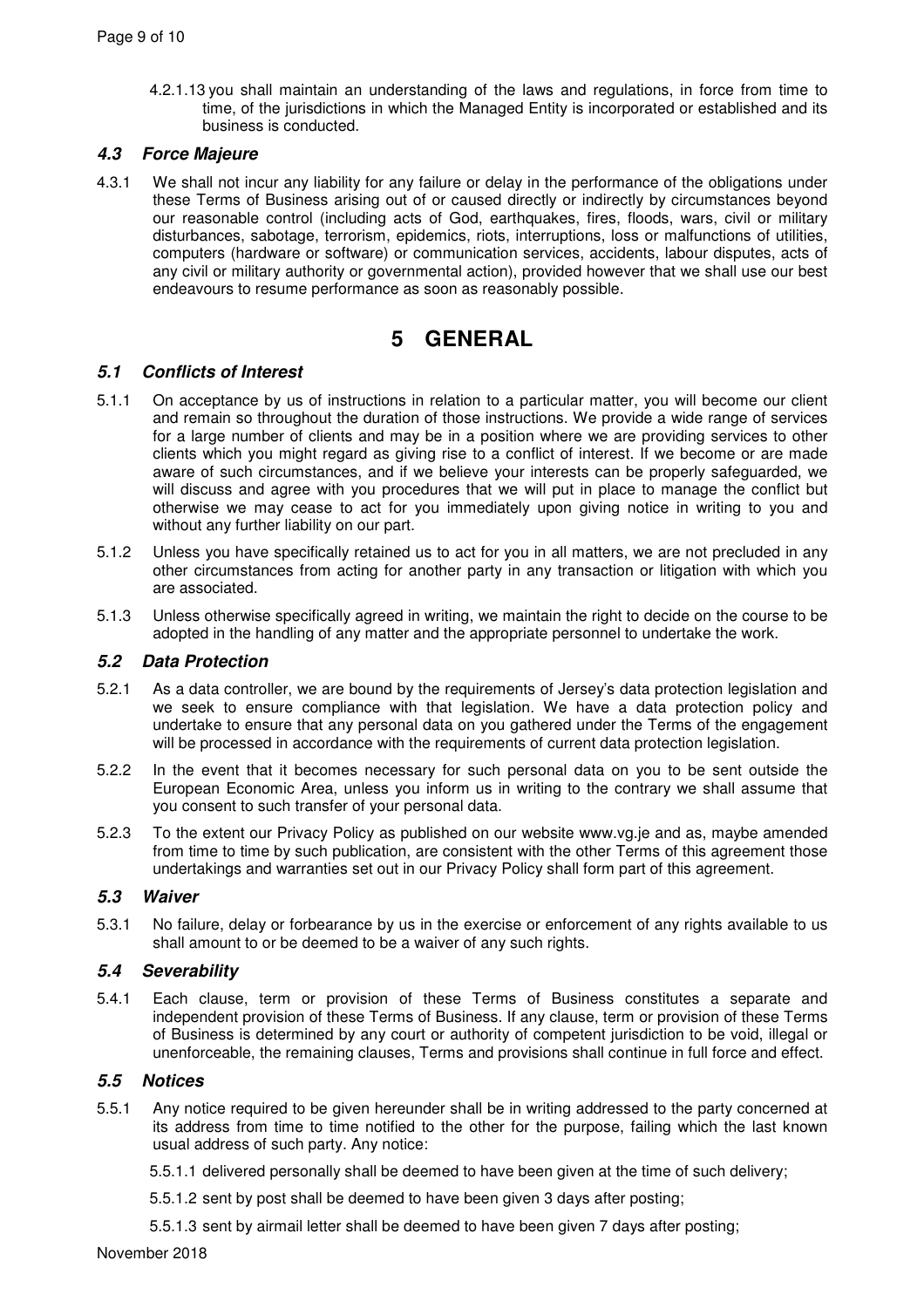4.2.1.13 you shall maintain an understanding of the laws and regulations, in force from time to time, of the jurisdictions in which the Managed Entity is incorporated or established and its business is conducted.

# **4.3 Force Majeure**

4.3.1 We shall not incur any liability for any failure or delay in the performance of the obligations under these Terms of Business arising out of or caused directly or indirectly by circumstances beyond our reasonable control (including acts of God, earthquakes, fires, floods, wars, civil or military disturbances, sabotage, terrorism, epidemics, riots, interruptions, loss or malfunctions of utilities, computers (hardware or software) or communication services, accidents, labour disputes, acts of any civil or military authority or governmental action), provided however that we shall use our best endeavours to resume performance as soon as reasonably possible.

# **5 GENERAL**

# **5.1 Conflicts of Interest**

- 5.1.1 On acceptance by us of instructions in relation to a particular matter, you will become our client and remain so throughout the duration of those instructions. We provide a wide range of services for a large number of clients and may be in a position where we are providing services to other clients which you might regard as giving rise to a conflict of interest. If we become or are made aware of such circumstances, and if we believe your interests can be properly safeguarded, we will discuss and agree with you procedures that we will put in place to manage the conflict but otherwise we may cease to act for you immediately upon giving notice in writing to you and without any further liability on our part.
- 5.1.2 Unless you have specifically retained us to act for you in all matters, we are not precluded in any other circumstances from acting for another party in any transaction or litigation with which you are associated.
- 5.1.3 Unless otherwise specifically agreed in writing, we maintain the right to decide on the course to be adopted in the handling of any matter and the appropriate personnel to undertake the work.

### **5.2 Data Protection**

- 5.2.1 As a data controller, we are bound by the requirements of Jersey's data protection legislation and we seek to ensure compliance with that legislation. We have a data protection policy and undertake to ensure that any personal data on you gathered under the Terms of the engagement will be processed in accordance with the requirements of current data protection legislation.
- 5.2.2 In the event that it becomes necessary for such personal data on you to be sent outside the European Economic Area, unless you inform us in writing to the contrary we shall assume that you consent to such transfer of your personal data.
- 5.2.3 To the extent our Privacy Policy as published on our website www.vg.je and as, maybe amended from time to time by such publication, are consistent with the other Terms of this agreement those undertakings and warranties set out in our Privacy Policy shall form part of this agreement.

# **5.3 Waiver**

5.3.1 No failure, delay or forbearance by us in the exercise or enforcement of any rights available to us shall amount to or be deemed to be a waiver of any such rights.

### **5.4 Severability**

5.4.1 Each clause, term or provision of these Terms of Business constitutes a separate and independent provision of these Terms of Business. If any clause, term or provision of these Terms of Business is determined by any court or authority of competent jurisdiction to be void, illegal or unenforceable, the remaining clauses, Terms and provisions shall continue in full force and effect.

### **5.5 Notices**

- 5.5.1 Any notice required to be given hereunder shall be in writing addressed to the party concerned at its address from time to time notified to the other for the purpose, failing which the last known usual address of such party. Any notice:
	- 5.5.1.1 delivered personally shall be deemed to have been given at the time of such delivery;
	- 5.5.1.2 sent by post shall be deemed to have been given 3 days after posting;
	- 5.5.1.3 sent by airmail letter shall be deemed to have been given 7 days after posting;